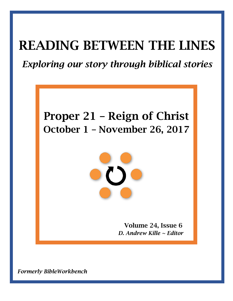# READING BETWEEN THE LINES

*Exploring our story through biblical stories*

## Proper 21 – Reign of Christ October 1 – November 26, 2017



Volume 24, Issue 6 *D. Andrew Kille ~ Editor*

*Formerly BibleWorkbench*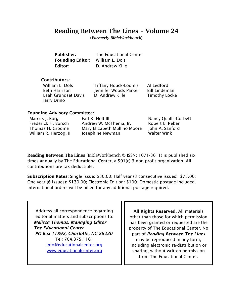### Reading Between The Lines – Volume 24

(*Formerly BibleWorkbench*)

| <b>Publisher:</b>                       | The Educational Center |
|-----------------------------------------|------------------------|
| <b>Founding Editor:</b> William L. Dols |                        |
| Editor:                                 | D. Andrew Kille        |

#### Contributors:

| William L. Dols     | <b>Tiffany Houck-Loomis</b> | Al Ledford           |
|---------------------|-----------------------------|----------------------|
| Beth Harrison       | Jennifer Woods Parker       | <b>Bill Lindeman</b> |
| Leah Grundset Davis | D. Andrew Kille             | <b>Timothy Locke</b> |
| Jerry Drino         |                             |                      |

#### Founding Advisory Committee:

| Marcus J. Borg        | Earl K. Holt III             | <b>Nancy Qualls-Corbett</b> |
|-----------------------|------------------------------|-----------------------------|
| Frederick H. Borsch   | Andrew W. McThenia, Jr.      | Robert E. Reber             |
| Thomas H. Groome      | Mary Elizabeth Mullino Moore | John A. Sanford             |
| William R. Herzog, II | Josephine Newman             | Walter Wink                 |

Reading Between The Lines (BibleWorkbench © ISSN: 1071-3611) is published six times annually by The Educational Center, a 501(c) 3 non-profit organization. All contributions are tax deductible.

Subscription Rates: Single issue: \$30.00; Half year (3 consecutive issues): \$75.00; One year (6 issues): \$130.00; Electronic Edition: \$100. Domestic postage included. International orders will be billed for any additional postage required.

Address all correspondence regarding editorial matters and subscriptions to: *Melissa Thomas, Managing Editor The Educational Center PO Box 11892, Charlotte, NC 28220* Tel: 704.375.1161 info@educationalcenter.org [www.educationalcenter.org](https://www.educationalcenter.org/)

All Rights Reserved. All materials other than those for which permission has been granted or requested are the property of The Educational Center. No part of *Reading Between The Lines*  may be reproduced in any form, including electronic re-distribution or sharing, without written permission from The Educational Center.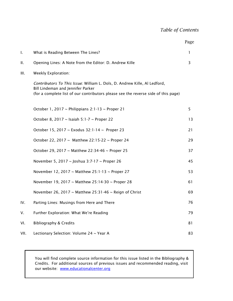|      |                                                                                                                                                                                                             | Page |
|------|-------------------------------------------------------------------------------------------------------------------------------------------------------------------------------------------------------------|------|
| Τ.   | What is Reading Between The Lines?                                                                                                                                                                          | 1    |
| Ш.   | Opening Lines: A Note from the Editor: D. Andrew Kille                                                                                                                                                      | 3    |
| III. | <b>Weekly Exploration:</b>                                                                                                                                                                                  |      |
|      | Contributors To This Issue: William L. Dols, D. Andrew Kille, Al Ledford,<br><b>Bill Lindeman and Jennifer Parker</b><br>(for a complete list of our contributors please see the reverse side of this page) |      |
|      | October 1, 2017 ~ Philippians 2:1-13 ~ Proper 21                                                                                                                                                            | 5    |
|      | October 8, 2017 ~ Isaiah 5:1-7 ~ Proper 22                                                                                                                                                                  | 13   |
|      | October 15, 2017 ~ Exodus 32:1-14 ~ Proper 23                                                                                                                                                               | 21   |
|      | October 22, 2017 ~ Matthew 22:15-22 ~ Proper 24                                                                                                                                                             | 29   |
|      | October 29, 2017 ~ Matthew 22:34-46 ~ Proper 25                                                                                                                                                             | 37   |
|      | November 5, 2017 ~ Joshua 3:7-17 ~ Proper 26                                                                                                                                                                | 45   |
|      | November 12, 2017 ~ Matthew 25:1-13 ~ Proper 27                                                                                                                                                             | 53   |
|      | November 19, 2017 ~ Matthew 25:14-30 ~ Proper 28                                                                                                                                                            | 61   |
|      | November 26, 2017 ~ Matthew 25:31-46 ~ Reign of Christ                                                                                                                                                      | 69   |
| IV.  | Parting Lines: Musings from Here and There                                                                                                                                                                  | 76   |
| V.   | Further Exploration: What We're Reading                                                                                                                                                                     | 79   |
| VI.  | <b>Bibliography &amp; Credits</b>                                                                                                                                                                           | 81   |
| VII. | Lectionary Selection: Volume 24 ~ Year A                                                                                                                                                                    | 83   |

You will find complete source information for this issue listed in the Bibliography & Credits. For additional sources of previous issues and recommended reading, visit our website: [www.educationalcenter.org](https://www.educationalcenter.org/)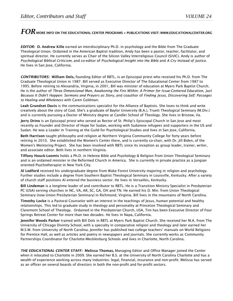### $\pmb{FOR}$  more info on the educational center programs + publications visit: www.educationalcenter.org

*EDITOR:* D. Andrew Kille earned an interdisciplinary Ph.D. in psychology and the Bible from The Graduate Theological Union. Ordained in the American Baptist tradition, Andy has been a pastor, teacher, facilitator, and spiritual director. He currently serves as Chair of the Silicon Valley Interreligious Council (SiVIC). Andy is author of *Psychological Biblical Criticism*, and co-editor of *Psychological Insight into the Bible* and *A Cry Instead of Justice*. He lives in San Jose, California.

*CONTRIBUTORS:* William Dols, founding Editor of RBTL, is an Episcopal priest who received his Ph.D. from The Graduate Theological Union in 1987. Bill served as Executive Director of The Educational Center from 1987 to 1995. Before retiring to Alexandria, Virginia, in 2001, Bill was minister of education at Myers Park Baptist Church. He is the author of *Three Dimensional Man, Awakening the Fire Within: A Primer for Issue-Centered Education, Just Because It Didn't Happen: Sermons and Prayers as Story*, and coauthor of *Finding Jesus, Discovering Self: Passages to Healing and Wholeness* with Caren Goldman.

Leah Grundset Davis is the communications specialist for the Alliance of Baptists. She loves to think and write creatively about the story of God. She's a graduate of Baylor University (B.A.), Truett Theological Seminary (M.Div.) and is currently pursuing a Doctor of Ministry degree at Candler School of Theology. She lives in Bristow, Va.

Jerry Drino is an Episcopal priest who served as Rector of St. Philip's Episcopal Church in San Jose and most recently as Founder and Director of Hope for Sudan, working with Sudanese refugees and supporters in the US and Sudan. He was a Leader in Training at the Guild for Psychological Studies and lives in San Jose, California.

Beth Harrison taught philosophy and religion at Northern Virginia Community College for forty years before retiring in 2010. She established the Women's Center there, and is currently co-chair, with Dr. Jill Biden, of the Women's Mentoring Project. She has been involved with RBTL since its inception as group leader, trainer, writer, and associate editor. Beth lives in northern Virginia.

Tiffany Houck-Loomis holds a Ph.D. in Hebrew Bible and Psychology & Religion from Union Theological Seminary and is an ordained minister in the Reformed Church in America. She is currently in private practice as a Jungian oriented Psychotherapist in New York City.

Al Ledford received his undergraduate degree from Wake Forest University majoring in religion and psychology. Further studies include a degree from Southern Baptist Theological Seminary in Louisville, Kentucky. After a variety of church staff positions Al entered the business sector. He lives in Versailles, Kentucky.

Bill Lindeman is a longtime leader of and contributor to RBTL. He is a Transition Ministry Specialist in Presbyterian PC (USA) serving churches in NC, VA, AR, SC, GA, OH and TN. He earned his D. Min. from Union Theological Seminary (now Union Presbyterian Seminary) in Richmond, Virginia. Bill lives in the mountains of North Carolina.

Timothy Locke is a Pastoral Counselor with an interest in the teachings of Jesus, human potential and healthy relationships. This led to graduate study in theology and personality at Princeton Theological Seminary and Claremont School of Theology. Ordained in the Presbyterian Church, USA, Tim has been Executive Director of Four Springs Retreat Center for more than two decades. He lives in Napa, California.

Jennifer Woods Parker trained with Bill Dols in RBTL at Myers Park Baptist Church. She received her M.A. from The University of Chicago Divinity School, with a specialty in comparative religion and theology and later earned her M.S.W. from University of North Carolina. Jennifer has published two college teachers' manuals on World Religions for Prentice Hall, as well as articles and poetry in newspapers and journals. She currently works as Community Partnerships Coordinator for Charlotte-Mecklenburg Schools and lives in Charlotte, North Carolina.

*THE EDUCATIONAL CENTER STAFF:* Melissa Thomas, Managing Editor and Office Manager joined the Center when it relocated to Charlotte in 2009. She earned her B.S. at the University of North Carolina Charlotte and has a wealth of experience working across many industries: legal, financial, insurance and non-profit. Melissa has served as an officer on several boards of directors in both the non-profit and for-profit sectors.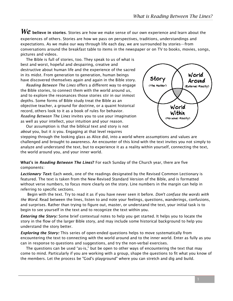*We* believe in stories. Stories are how we make sense of our own experience and learn about the experiences of others. Stories are how we pass on perspectives, traditions, understandings and expectations. As we make our way through life each day, we are surrounded by stories—from conversations around the breakfast table to items in the newspaper or on TV to books, movies, songs, pictures and videos.

The Bible is full of stories, too. They speak to us of what is best and worst, hopeful and despairing, creative and destructive about human life and the experience of the sacred in its midst. From generation to generation, human beings have discovered themselves again and again in the Bible story.

*Reading Between The Lines* offers a different way to engage the Bible stories, to connect them with the world around us, and to explore the resonances those stories stir in our inmost depths. Some forms of Bible study treat the Bible as an objective teacher, a ground for doctrine, or a quaint historical record, others look to it as a book of rules for behavior. *Reading Between The Lines* invites you to use your imagination as well as your intellect, your intuition and your reason.

Our assumption is that the biblical text and story is not *about* you, but it *is* you. Engaging at that level requires



stepping through the looking glass as Alice did, into a world where assumptions and values are challenged and brought to awareness. An encounter of this kind with the text invites you not simply to analyze and understand the text, but to experience it as a reality within yourself, connecting the text, the world around you, and your inner world.

What's in *Reading Between The Lines*? For each Sunday of the Church year, there are five components:

*Lectionary Text:* Each week, one of the readings designated by the Revised Common Lectionary is featured. The text is taken from the New Revised Standard Version of the Bible, and is formatted without verse numbers, to focus more clearly on the story. Line numbers in the margin can help in referring to specific sections.

Begin with the text. Try to read it as if you have never seen it before. *Don't confuse the words with the Word.* Read between the lines, listen to and note your feelings, questions, wanderings, confusions, and surprises. Rather than trying to figure out, master, or understand the text, your initial task is to begin to see yourself in the text and to recognize the text within you.

*Entering the Story:* Some brief contextual notes to help you get started. It helps you to locate the story in the flow of the larger Bible story, and may include some historical background to help you understand the story better.

*Exploring the Story:* This series of open-ended questions helps to move systematically from encountering the text to connecting with the world around and to the inner world. Enter as fully as you can in response to questions and suggestions, and try the non-verbal exercises.

The questions can be used "as-is," but be open to other ways of encountering the text that may come to mind. Particularly if you are working with a group, shape the questions to fit what you know of the members. Let the process be "God's playground" where you can stretch and dig and build.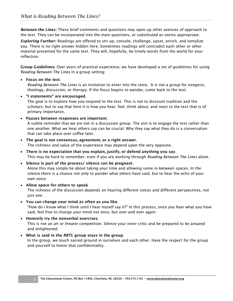*Between the Lines:* These brief comments and questions may open up other avenues of approach to the text. They can be incorporated into the main questions, or substituted as seems appropriate.

*Exploring Further:* Readings are offered to stir up, console, challenge, upset, enrich, and tantalize you. There is no right answer hidden here. Sometimes readings will contradict each other or other material presented for the same text. They will, hopefully, be timely words from the world for your reflection.

Group Guidelines: Over years of practical experience, we have developed a set of guidelines for using *Reading Between The Lines* in a group setting:

#### • Focus on the *text*.

*Reading Between The Lines* is an invitation to enter into the story. It is not a group for exegesis, theology, discussion, or therapy. If the focus begins to wander, come back to the text.

#### • "I statements" are encouraged.

The goal is to explore how *you* respond to the text. This is not to discount tradition and the scholars; but to say that here it is how you hear, feel, think about, and react to the text that is of primary importance.

#### • Pauses between responses are important.

A subtle reminder that we are not in a discussion group. The aim is to engage the text rather than one another. What we hear others say can be crucial. Why they say what they do is a conversation that can take place over coffee later.

- The goal is not consensus, agreement, or a right answer. The richness and value of the experience may depend upon the very opposite.
- There is no expectation that you explain, justify, or defend anything you say. This may be hard to remember; even if you are working through *Reading Between The Lines* alone.
- Silence is part of the process/ silence can be pregnant. Alone this may simply be about taking your time and allowing some in-between spaces. In the silence there is a chance not only to ponder what others have said, but to hear the echo of your own voice.
- Allow space for others to speak

The richness of the discussion depends on hearing different voices and different perspectives, not just one.

• You can change your mind as often as you like.

"How do I know what I think until I hear myself say it?" In this process, once you hear what you have said, feel free to change your mind not once, but over and over again.

- Honestly try the nonverbal exercises. This is not an art or theater competition. Silence your inner critic and be prepared to be amazed and enlightened.
- What is said in the *RBTL* group stays in the group.

In the group*,* we touch sacred ground in ourselves and each other. Have the respect for the group and yourself to honor that confidentiality.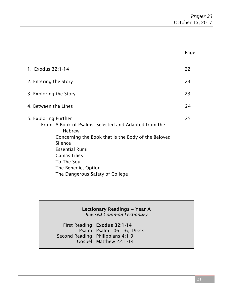|                                                                                                                                                                                                                                                                                    | Page |
|------------------------------------------------------------------------------------------------------------------------------------------------------------------------------------------------------------------------------------------------------------------------------------|------|
| 1. Exodus 32:1-14                                                                                                                                                                                                                                                                  | 22   |
| 2. Entering the Story                                                                                                                                                                                                                                                              | 23   |
| 3. Exploring the Story                                                                                                                                                                                                                                                             | 23   |
| 4. Between the Lines                                                                                                                                                                                                                                                               | 24   |
| 5. Exploring Further<br>From: A Book of Psalms: Selected and Adapted from the<br>Hebrew<br>Concerning the Book that is the Body of the Beloved<br>Silence<br><b>Essential Rumi</b><br><b>Camas Lilies</b><br>To The Soul<br>The Benedict Option<br>The Dangerous Safety of College | 25   |

#### Lectionary Readings ~ Year A *Revised Common Lectionary*

First Reading Exodus 32:1-14 Psalm Psalm 106:1-6, 19-23 Second Reading Philippians 4:1-9 Gospel Matthew 22:1-14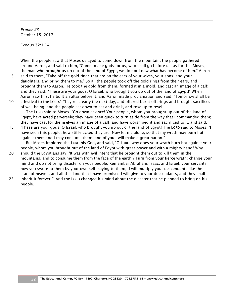*Proper 23* October 15, 2017

Exodus 32:1-14

When the people saw that Moses delayed to come down from the mountain, the people gathered around Aaron, and said to him, "Come, make gods for us, who shall go before us; as for this Moses, the man who brought us up out of the land of Egypt, we do not know what has become of him." Aaron

- 5 said to them, "Take off the gold rings that are on the ears of your wives, your sons, and your daughters, and bring them to me." So all the people took off the gold rings from their ears, and brought them to Aaron. He took the gold from them, formed it in a mold, and cast an image of a calf; and they said, "These are your gods, O Israel, who brought you up out of the land of Egypt!" When Aaron saw this, he built an altar before it; and Aaron made proclamation and said, "Tomorrow shall be
- 10 a festival to the LORD." They rose early the next day, and offered burnt offerings and brought sacrifices of well-being; and the people sat down to eat and drink, and rose up to revel.

The LORD said to Moses, "Go down at once! Your people, whom you brought up out of the land of Egypt, have acted perversely; they have been quick to turn aside from the way that I commanded them; they have cast for themselves an image of a calf, and have worshiped it and sacrificed to it, and said,

15 'These are your gods, O Israel, who brought you up out of the land of Egypt! The LORD said to Moses, "I have seen this people, how stiff-necked they are. Now let me alone, so that my wrath may burn hot against them and I may consume them; and of you I will make a great nation."

But Moses implored the LORD his God, and said, "O LORD, why does your wrath burn hot against your people, whom you brought out of the land of Egypt with great power and with a mighty hand? Why

- 20 should the Egyptians say, 'It was with evil intent that he brought them out to kill them in the mountains, and to consume them from the face of the earth'? Turn from your fierce wrath; change your mind and do not bring disaster on your people. Remember Abraham, Isaac, and Israel, your servants, how you swore to them by your own self, saying to them, 'I will multiply your descendants like the stars of heaven, and all this land that I have promised I will give to your descendants, and they shall
- 25 inherit it forever.'" And the LORD changed his mind about the disaster that he planned to bring on his people.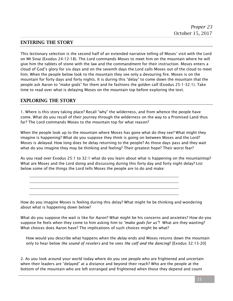#### ENTERING THE STORY

This lectionary selection is the second half of an extended narrative telling of Moses' visit with the Lord on Mt Sinai (Exodus 24:12-18). The Lord commands Moses to meet him on the mountain where he will give him the tablets of stone with the law and the commandment for their instruction. Moses enters a cloud of God's glory for six days and on the seventh days the Lord calls Moses out of the cloud to meet him. When the people below look to the mountain they see only a devouring fire. Moses is on the mountain for forty days and forty nights. It is during this "delay" to come down the mountain that the people ask Aaron to "make gods" for them and he fashions the golden calf (Exodus 25:1-32:1). Take time to read over what is delaying Moses on the mountain top before exploring the text.

#### EXPLORING THE STORY

1. Where is this story taking place? Recall "why" the wilderness, and from whence the people have come. What do you recall of their journey through the wilderness on the way to a Promised Land thus far? The Lord commands Moses to the mountain top for what reason?

When the people look up to the mountain where Moses has gone what do they see? What might they imagine is happening? What do you suppose they think is going on between Moses and the Lord? Moses is *delayed*. How long does he delay returning to the people? As those days pass and they wait what do you imagine they may be thinking and feeling? Their greatest hope? Their worst fear?

As you read over Exodus 25:1 to 32:1 what do you learn about what is happening on the mountaintop? What are Moses and the Lord doing and discussing during this forty day and forty night delay? List below some of the things the Lord tells Moses the people are to do and make:

How do you imagine Moses is feeling during this delay? What might he be thinking and wondering about what is happening down below?

What do you suppose the wait is like for Aaron? What might be his concerns and anxieties? How do you suppose he feels when they come to him asking him to *"make gods for us"*? What are they wanting? What choices does Aaron have? The implications of such choices might be what?

How would you describe what happens when the *delay* ends and Moses returns down the mountain only to hear below *the sound of revelers* and he sees *the calf and the dancing*? [Exodus 32:15-20]

2. As you look around your world today where do you see people who are frightened and uncertain when their leaders are "delayed" at a distance and beyond their reach? Who are the people at the bottom of the mountain who are left estranged and frightened when those they depend and count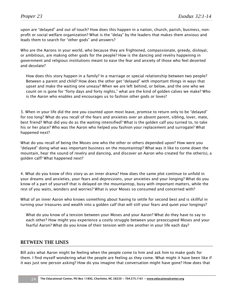upon are "delayed" and out of touch? How does this happen in a nation, church, parish, business, nonprofit or social welfare organization? What is the "delay" by the leaders that makes them anxious and leads them to search for "other gods" and answers?

Who are the Aarons in your world, who because they are frightened, compassionate, greedy, disloyal, or ambitious, are making other gods for the people? How is the dancing and revelry happening in government and religious institutions meant to ease the fear and anxiety of those who feel deserted and desolate?

How does this story happen in a family? In a marriage or special relationship between two people? Between a parent and child? How does the other get "delayed" with important things in ways that upset and make the waiting one uneasy? When we are left behind, or below, and the one who we count on is gone for "forty days and forty nights," what are the kind of golden calves we make? Who is the Aaron who enables and encourages us to fashion other gods or loves?

3. When in your life did the one you counted upon most leave, promise to return only to be "delayed" for too long? What do you recall of the fears and anxieties over an absent parent, sibling, lover, mate, best friend? What did you do as the waiting intensified? What is the golden calf you turned to, to take his or her place? Who was the Aaron who helped you fashion your replacement and surrogate? What happened next?

What do you recall of being the Moses one who the other or others depended upon? How were you "delayed" doing what was important business on the mountaintop? What was it like to come down the mountain, hear the sound of revelry and dancing, and discover an Aaron who created for the other(s), a golden calf? What happened next?

4. What do you know of this story as an inner drama? How does the same plot continue to unfold in your dreams and anxieties, your fears and depressions, your anxieties and your longing? What do you know of a part of yourself that is delayed on the mountaintop, busy with important matters, while the rest of you waits, wonders and worries? What is your Moses so consumed and concerned with?

What of an inner Aaron who knows something about having to settle for second best and is skillful in turning your treasures and wealth into a golden calf that will still your fears and quiet your longings?

What do you know of a tension between your Moses and your Aaron? What do they have to say to each other? How might you experience a costly struggle between your preoccupied Moses and your fearful Aaron? What do you know of their tension with one another in your life each day?

#### BETWEEN THE LINES

Bill asks what Aaron might be feeling when the people come to him and ask him to make gods for them. I find myself wondering what the people are feeling as they come. What might it have been like if it was just one person asking? How do you imagine that conversation might have gone? How does that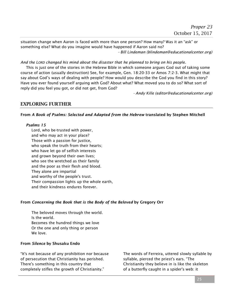situation change when Aaron is faced with more than one person? How many? Was it an "ask" or something else? What do you imagine would have happened if Aaron said no? *- Bill Lindeman (blindeman@educationalcenter.org)* 

*And the LORD changed his mind about the disaster that he planned to bring on his people.*

This is just one of the stories in the Hebrew Bible in which someone argues God out of taking some course of action (usually destruction) See, for example, Gen. 18:20-33 or Amos 7:2-3. What might that say about God's ways of dealing with people? How would you describe the God you find in this story? Have you ever found yourself arguing with God? About what? What moved you to do so? What sort of reply did you feel you got, or did not get, from God?

*- Andy Kille (editor@educationalcenter.org)* 

#### EXPLORING FURTHER

#### From *A Book of Psalms: Selected and Adapted from the Hebrew* translated by Stephen Mitchell

#### *Psalms 15*

Lord, who be-trusted with power, and who may act in your place? Those with a passion for justice, who speak the truth from their hearts; who have let go of selfish interests and grown beyond their own lives; who see the wretched as their family and the poor as their flesh and blood. They alone are impartial and worthy of the people's trust. Their compassion lights up the whole earth, and their kindness endures forever.

#### From *Concerning the Book that is the Body of the Beloved* by Gregory Orr

The beloved moves through the world. Is the world. Becomes the hundred things we love Or the one and only thing or person We love.

#### From *Silence* by Shusaku Endo

"It's not because of any prohibition nor because of persecution that Christianity has perished. There's something in this country that completely stifles the growth of Christianity."

The words of Ferreira, uttered slowly syllable by syllable, pierced the priest's ears. "The Christianity they believe in is like the skeleton of a butterfly caught in a spider's web: it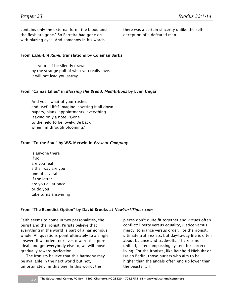contains only the external form; the blood and the flesh are gone." So Ferreira had gone on with blazing eyes. And somehow in his words

there was a certain sincerity unlike the selfdeception of a defeated man.

#### From *Essential Rumi,* translations by Coleman Barks

Let yourself be silently drawn by the strange pull of what you really love. It will not lead you astray.

#### From "Camas Lilies" in *Blessing the Bread: Meditations* by Lynn Ungar

And you—what of your rushed and useful life? Imagine it setting it all down papers, plans, appointments, everything leaving only a note: "Gone to the field to be lovely. Be back when I'm through blooming."

#### From "To the Soul" by W.S. Merwin in *Present Company*

Is anyone there if so are you real either way are you one of several if the latter are you all at once or do you take turns answering

#### From "The Benedict Option" by David Brooks at *NewYorkTimes.com*

Faith seems to come in two personalities, the purist and the ironist. Purists believe that everything in the world is part of a harmonious whole. All questions point ultimately to a single answer. If we orient our lives toward this pure ideal, and get everybody else to, we will move gradually toward perfection.

The ironists believe that this harmony may be available in the next world but not, unfortunately, in this one. In this world, the

pieces don't quite fit together and virtues often conflict: liberty versus equality, justice versus mercy, tolerance versus order. For the ironist, ultimate truth exists, but day-to-day life is often about balance and trade-offs. There is no unified, all-encompassing system for correct living. For the ironists, like Reinhold Niebuhr or Isaiah Berlin, those purists who aim to be higher than the angels often end up lower than the beasts.[…]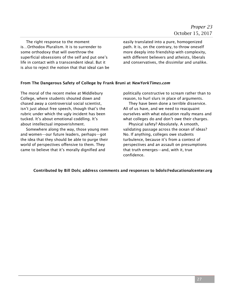The right response to the moment is…Orthodox Pluralism. It is to surrender to some orthodoxy that will overthrow the superficial obsessions of the self and put one's life in contact with a transcendent ideal. But it is also to reject the notion that that ideal can be

easily translated into a pure, homogenized path. It is, on the contrary, to throw oneself more deeply into friendship with complexity, with different believers and atheists, liberals and conservatives, the dissimilar and unalike.

#### From The Dangerous Safety of College by Frank Bruni at *NewYorkTimes.com*

The moral of the recent melee at Middlebury College, where students shouted down and chased away a controversial social scientist, isn't just about free speech, though that's the rubric under which the ugly incident has been tucked. It's about emotional coddling. It's about intellectual impoverishment.

Somewhere along the way, those young men and women—our future leaders, perhaps—got the idea that they should be able to purge their world of perspectives offensive to them. They came to believe that it's morally dignified and

politically constructive to scream rather than to reason, to hurl slurs in place of arguments.

They have been done a terrible disservice. All of us have, and we need to reacquaint ourselves with what education really means and what colleges do and don't owe their charges.

Physical safety? Absolutely. A smooth, validating passage across the ocean of ideas? No. If anything, colleges owe students turbulence, because it's from a contest of perspectives and an assault on presumptions that truth emerges—and, with it, true confidence.

#### Contributed by Bill Dols; address comments and responses to bdols@educationalcenter.org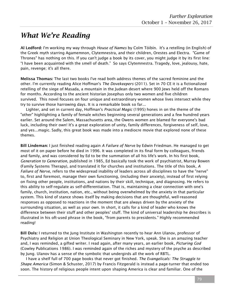## *What We're Reading*

Al Ledford: I'm working my way through *House of Names* by Colm Tóibín. It's a retelling (in English) of the Greek myth starring Agamemnon, Clytemnestra, and their children, Orestes and Electra. "Game of Thrones" has nothing on this. If you can't judge a book by its cover, you might judge it by its first line: "I have been acquainted with the smell of death." So says Clytemnestra. Tragedy, love, jealousy, hate, pain, revenge; it's all there.

Melissa Thomas: The last two books I've read both address themes of the sacred feminine and the other. I'm currently reading Alice Hoffman's *The Dovekeepers* (2011). Set in 70 CE it is a fictionalized retelling of the siege of Masada, a mountain in the Judean desert where 900 Jews held off the Romans for months. According to the ancient historian Josephus only two women and five children survived. This novel focuses on four unique and extraordinary women whose lives intersect while they try to survive those harrowing days. It is a remarkable book so far...

Lighter, and set in current day, Hoffman's *Practical Magic* (1995) hones in on the theme of the "other" highlighting a family of female witches beginning several generations and a few hundred years earlier. Set around the Salem, Massachusetts area, the Owens women are blamed for everyone's bad luck, including their own! It's a great exploration of unity, family differences, forgiveness of self, love, and yes...magic. Sadly, this great book was made into a mediocre movie that explored none of these themes.

Bill Lindeman: I just finished reading again *A Failure of Nerve* by Edwin Friedman. He managed to get most of it on paper before he died in 1996. It was completed in its final form by colleagues, friends and family, and was considered by Ed to be the summation of all his life's work. In his first book, *Generation to Generation*, published in 1985, Ed basically took the work of psychiatrist, Murray Bowen (Family Systems Therapy), and translated it for churches and institutions. The title of this book, *A Failure of Nerve*, refers to the widespread inability of leaders across all disciplines to have the "nerve" to, first and foremost, manage their own functioning, (including their anxiety), instead of first relying on fixing other people, institutions, and nations by their skill, technique, and diagnosing. He refers to this ability to self-regulate as self-differentiation. That is, maintaining a clear connection with one's family, church, institution, nation, etc., without being overwhelmed by the anxiety in that particular system. This kind of stance shows itself by making decisions that are thoughtful, well-reasoned responses as opposed to reactions in the moment that are always driven by the anxiety of the surrounding situation, as well as your own. In short, it calls for a kind of leader who knows the difference between their stuff and other peoples' stuff. The kind of universal leadership he describes is illustrated in his oft-used phrase in the book, "from parents to presidents." Highly recommended reading!

Bill Dols: I returned to the Jung Institute in Washington recently to hear Ann Ulanov, professor of Psychiatry and Religion at Union Theological Seminary in New York, speak. She is an amazing teacher and, I was reminded, a gifted writer. I read again, after many years, an earlier book, *Picturing God* (Cowley Publications 1986). I was reminded again of the riches and mystery of the psyche as described by Jung. Ulanov has a sense of the symbolic that undergirds all the work of RBTL.

I have a shelf full of 700 page books that never got finished. *The Evangelicals: The Struggle to Shape America* (Simon & Schuster, 2017) by Francis Fitzgerald is instead a page-turner that ended too soon. The history of religious people intent upon shaping America is clear and familiar. One of the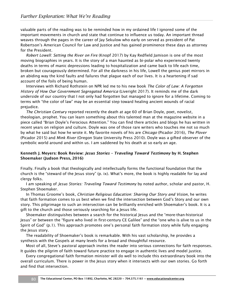valuable parts of the reading was to be reminded how in my ordained life I ignored some of the important movements in church and state that continue to influence us today. An important thread weaves through the pages in the career of Jay Sekulow who early on served as president of Pat Robertson's American Council for Law and Justice and has gained prominence these days as attorney for the President.

*Robert Lowell: Setting the River on Fire* (Knopf 2017) by Kay Redfield Jamison is one of the most moving biographies in years. It is the story of a man haunted as bi-polar who experienced twenty deaths in terms of manic depressions leading to hospitalization and came back to life each time, broken but courageously determined. For all the darkness in his life, Lowell the genius poet mirrors in an abiding way the kind faults and failures that plague each of our lives. It is a heartening if sad account of the foils of being human.

Interviews with Richard Rothstein on NPR led me to his new book *The Color of Law: A Forgotten History of How Our Government Segregated America* (Liveright 2017). It reminds me of the dark underside of our country that I not only had forgotten but managed to ignore for a lifetime. Coming to terms with "the color of law" may be an essential step toward healing ancient wounds of racial prejudice.

*The Christian Century* reported recently the death at age 60 of Brian Doyle, poet, novelist, theologian, prophet. You can learn something about this talented man at the magazine website in a piece called "Brian Doyle's Ferocious Attention." You can find there articles and blogs he has written in recent years on religion and culture. Doyle was one of those rare writers who touches me not so much by what he said but how he wrote it. My favorite novels of his are *Chicago* (Picador 2016), *The Plover* (Picador 2015) and *Mink River* (Oregon State University Press 2010). Doyle was a gifted observer of the symbolic world around and within us. I am saddened by his death at so early an age.

#### Kenneth J. Meyers: Book Review: *Jesus Stories – Traveling Toward Testimony* by H. Stephen Shoemaker (Judson Press, 2016)

Finally. Finally a book that theologically and intellectually forms the functional foundation that the church is the "steward of the Jesus story" (p. ix). What's more, the book is highly readable for lay and clergy folks.

I am speaking of *Jesus Stories: Traveling Toward Testimony* by noted author, scholar and pastor, H. Stephen Shoemaker.

In Thomas Groome's book, *Christian Religious Education: Sharing Our Story and Vision*, he writes that faith formation comes to us best when we find the intersection between God's Story and our own story. This pilgrimage to such an intersection can be brilliantly enriched with Shoemaker's book. It is a gift to the church and those seriously searching for a Jesus life.

Shoemaker distinguishes between a search for the historical Jesus and the "more-than-historical Jesus" or between the "figure who lived in first-century CE Galilee" and the "one who is alive to us in the Spirit of God" (p.1). This approach promotes one's personal faith formation story while fully engaging the Jesus story.

The readability of Shoemaker's book is remarkable. With his vast scholarship, he provides a synthesis with the Gospels at many levels for a broad and thoughtful resource.

Most of all, Steve's pastoral approach invites the reader into serious connections for faith responses. It guides the pilgrim of faith toward future practice to engage in authentic lives and model justice.

Every congregational faith formation minister will do well to include this extraordinary book into the overall curriculum. There is power in the Jesus story when it intersects with our own stories. Go forth and find that intersection.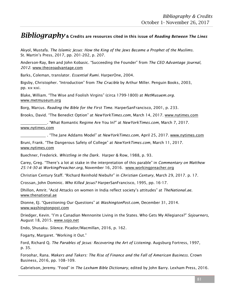## *Bibliography* & Credits are resources cited in this issue of *Reading Between The Lines*

Akyol, Mustafa. *The Islamic Jesus: How the King of the Jews Became a Prophet of the Muslims.*  St. Martin's Press, 2017, pp. 201-202, p. 207.

Anderson-Ray, Ben and John Kobasic. "Succeeding the Founder" from *The CEO Advantage Journal, 2012*. [www.theceoadvantage.com](http://www.theceoadvantage.com/)

Barks, Coleman, translator. *Essential Rumi*. HarperOne, 2004.

Bigsby, Christopher. "Introduction" from *The Crucible* by Arthur Miller. Penguin Books, 2003, pp. xx-xxi.

Blake, William. "The Wise and Foolish Virgins" (circa 1799-1800) at *MetMusuem.org.* [www.metmuseum.org](http://www.metmuseum.org/)

Borg, Marcus. *Reading the Bible for the First Time*. HarperSanFrancisco, 2001, p. 233.

Brooks, David. "The Benedict Option" at *NewYorkTimes.com*, March 14, 2017. [www.nytimes.com](https://www.nytimes.com/?action=click&contentCollection=Opinion®ion=TopBar&module=HomePage-Button&pgtype=article)

 . "What Romantic Regime Are You In?" at *NewYorkTimes.com*, March 7, 2017. [www.nytimes.com](https://www.nytimes.com/?action=click&contentCollection=Opinion®ion=TopBar&module=HomePage-Button&pgtype=article)

. "The Jane Addams Model" at *NewYorkTimes.com*, April 25, 2017. [www.nytimes.com](https://www.nytimes.com/?action=click&contentCollection=Opinion®ion=TopBar&module=HomePage-Button&pgtype=article)

Bruni, Frank. "The Dangerous Safety of College" at *NewYorkTimes.com*, March 11, 2017. [www.nytimes.com](https://www.nytimes.com/?action=click&contentCollection=Opinion®ion=TopBar&module=HomePage-Button&pgtype=article)

Buechner, Frederick. *Whistling in the Dark.* Harper & Row, 1988, p. 93.

Carey, Greg. "There's a lot at stake in the interpretation of this parable" in *Commentary on Matthew 25:14-30* at *WorkingPreacher.org,* November 16, 2016*.* [www.workingpreacher.org](https://www.workingpreacher.org/)

Christian Century Staff. "Richard Reinhold Niebuhr" in *Christian Century*, March 29, 2017. p. 17.

Crossan, John Dominic. *Who Killed Jesus?* HarperSanFrancisco, 1995, pp. 16-17.

Dhillon, Amrit. "Acid Attacks on women in India reflect society's attitudes" at *TheNational.ae.*  [www.thenational.ae](http://www.thenational.ae/)

Dionne, EJ. "Questioning Our Questions" at *WashingtonPost.com*, December 31, 2014. [www.washingtonpost.com](https://www.washingtonpost.com/)

Driedger, Kevin. "I'm a Canadian Mennonite Living in the States. Who Gets My Allegiance?" *Sojourners,* August 18, 2015. [www.sojo.net](https://sojo.net/)

Endo, Shusaku. *Silence*. Picador/Macmillan, 2016, p. 162.

Fogarty, Margaret. "Working it Out."

Ford, Richard Q. *The Parables of Jesus: Recovering the Art of Listening.* Augsburg Fortress, 1997, p. 35.

Foroohar, Rana. *Makers and Takers: The Rise of Finance and the Fall of American Business*. Crown Business, 2016, pp. 108–109.

Gabrielson, Jeremy. "Food" in *The Lexham Bible Dictionary*, edited by John Barry. Lexham Press, 2016.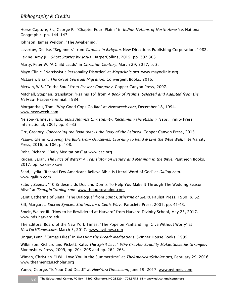Horse Capture, Sr., George P., "Chapter Four: Plains" in *Indian Nations of North America*. National Geographic, pp. 144–147.

Johnson, James Weldon. "The Awakening."

Levertov, Denise. "Beginners" from *Candles in Babylon*. New Directions Publishing Corporation, 1982.

Levine, Amy-Jill. *Short Stories by Jesus*. HarperCollins, 2015, pp. 302-303.

Marty, Peter W. "A Child Leads" in *Christian Century*, March 29, 2017, p. 3.

Mayo Clinic. "Narcissistic Personality Disorder" at *Mayoclinic.org.* [www.mayoclinic.org](http://www.mayoclinic.org/)

McLaren, Brian. *The Great Spiritual Migration*. Convergent Books, 2016.

Merwin, W.S. "To the Soul" from *Present Company*. Copper Canyon Press, 2007.

Mitchell, Stephen, translator. "Psalms 15" from *A Book of Psalms: Selected and Adapted from the Hebrew*. HarperPerennial, 1984.

Morganthau, Tom. "Why Good Cops Go Bad" at *Newsweek.com*, December 18, 1994. [www.newsweek.com](http://www.newsweek.com/)

Nelson-Pallmeyer, Jack. *Jesus Against Christianity: Reclaiming the Missing Jesus.* Trinity Press International, 2001, pp. 31-33.

Orr, Gregory. *Concerning the Book that is the Body of the Beloved.* Copper Canyon Press, 2015.

Paauw, Glenn R. *Saving the Bible from Ourselves: Learning to Read & Live the Bible Well*. InterVarsity Press, 2016, p. 106, p. 108.

Rohr, Richard. "Daily Meditations" at [www.cac.org](https://cac.org/)

Ruden, Sarah. *The Face of Water: A Translator on Beauty and Meaning in the Bible*. Pantheon Books, 2017, pp. xxxiv- xxxvi.

Saad, Lydia. "Record Few Americans Believe Bible Is Literal Word of God" at *Gallup.com.*  [www.gallup.com](http://www.gallup.com/home.aspx)

Sabur, Zeenat. "10 Bridesmaids Dos and Don'ts To Help You Make It Through The Wedding Season Alive" at *ThoughtCatalog.com.* [www.thoughtcatalog.com](http://thoughtcatalog.com/)

Saint Catherine of Siena. "The Dialogue" from *Saint Catherine of Siena*. Paulist Press, 1980. p. 62.

Silf, Margaret. *Sacred Spaces: Stations on a Celtic Way.* Paraclete Press, 2001, pp. 41-43.

Smelt, Walter III. "How to be Bewildered at Harvard" from Harvard Divinity School, May 25, 2017. [www.hds.harvard.edu](https://hds.harvard.edu/)

The Editoral Board of the New York Times. "The Pope on Panhandling: Give Without Worry" at *NewYorkTimes.com*, March 3, 2017. [www.nytimes.com](https://www.nytimes.com/?action=click&contentCollection=Opinion®ion=TopBar&module=HomePage-Button&pgtype=article)

Ungar, Lynn. "Camas Lilies" in *Blessing the Bread: Meditations*. Skinner House Books, 1995.

Wilkinson, Richard and Pickett, Kate. *The Spirit Level: Why Greater Equality Makes Societies Stronger*. Bloomsbury Press, 2009, pp. 204–205 and pp. 262–263.

Wiman, Christian. "I Will Love You in the Summertime" at *TheAmericanScholar.org*, February 29, 2016. [www.theamericanscholar.org](https://theamericanscholar.org/)

Yancy, George. "Is Your God Dead?" at *NewYorkTimes.com*, June 19, 2017. [www.nytimes.com](https://www.nytimes.com/?action=click&contentCollection=Opinion®ion=TopBar&module=HomePage-Button&pgtype=article)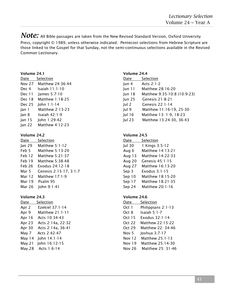*Note:* All Bible passages are taken from the New Revised Standard Version, Oxford University Press, copyright © 1989, unless otherwise indicated. Pentecost selections from Hebrew Scripture are those linked to the Gospel for that Sunday, not the semi-continuous selections available in the Revised Common Lectionary.

#### Volume 24.1

| Date          | Selection        |
|---------------|------------------|
| <b>Nov 27</b> | Matthew 24:36-44 |
| Dec 4         | Isaiah 11:1-10   |
| Dec 11        | James 5:7-10     |
| Dec 18        | Matthew 1:18-25  |
| <b>Dec 25</b> | John 1:1-14      |
| Jan 1         | Matthew 2:13-23  |
| Jan 8         | Isaiah 42:1-9    |
| Jan 15        | John 1:29-42     |
| Jan 22        | Matthew 4:12-23  |

#### Volume 24.2

Date Selection Jan 29 Matthew 5:1-12 Feb 5 Matthew 5:13-20 Feb 12 Matthew 5:21-37 Feb 19 Matthew 5:38-48 Feb 26 Exodus 24:12-18 Mar 5 Genesis 2:15-17, 3:1-7 Mar 12 Matthew 17:1-9 Mar 19 Psalm 95 Mar 26 John 9:1-41

#### Volume 24.3

| Date   | Selection         |
|--------|-------------------|
| Apr 2  | Ezekiel 37:1-14   |
| Apr 9  | Matthew 21:1-11   |
| Apr 16 | Acts 10:34-43     |
| Apr 23 | Acts 2:14a, 22-32 |
| Apr 30 | Acts 2:14a, 36-41 |
| May 7  | Acts 2:42-47      |
| May 14 | John 14:1-14      |
| May 21 | John 16:12-15     |
| May 28 | Acts 1:6-14       |

#### Volume 24.4

| Date          | Selection                   |
|---------------|-----------------------------|
| Jun 4         | Acts 2:1-2                  |
| Jun 11        | Matthew 28:16-20            |
| <b>Jun 18</b> | Matthew 9:35-10:8 (10:9-23) |
| <b>Jun 25</b> | Genesis 21:8-21             |
| Jul 2         | Genesis 22:1-14             |
| Jul 9         | Matthew 11:16-19, 25-30     |
| <b>Jul 16</b> | Matthew 13: 1-9, 18-23      |
| Jul $23$      | Matthew 13:24-30, 36-43     |
|               |                             |

#### Volume 24.5

| Date          | Selection        |
|---------------|------------------|
| <b>Jul 30</b> | 1 Kings 3:5-12   |
| Aug 6         | Matthew 14:13-21 |
| <b>Aug 13</b> | Matthew 14:22-33 |
| Aug 20        | Genesis 45:1-15  |
| Aug 27        | Matthew 16:13-20 |
| Sep 3         | Exodus 3:1-15    |
| Sep 10        | Matthew 18:15-20 |
| Sep 17        | Matthew 18:21-35 |
| Sep 24        | Matthew 20:1-16  |

#### Volume 24.6

| Date   | Selection          |
|--------|--------------------|
| Oct 1  | Philippians 2:1-13 |
| Oct 8  | Isaiah 5:1-7       |
| Oct 15 | Exodus 32:1-14     |
| Oct 22 | Matthew 22:15-22   |
| Oct 29 | Matthew 22: 34-46  |
| Nov 5  | Joshua 3:7-17      |
| Nov 12 | Matthew 25:1-13    |
| Nov 19 | Matthew 25:14-30   |
| Nov 26 | Matthew 25: 31-46  |
|        |                    |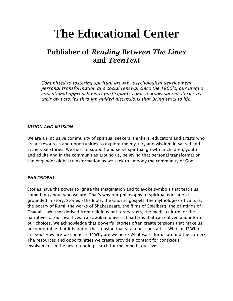## The Educational Center

## Publisher of *Reading Between The Lines* and *TeenText*

*Committed to fostering spiritual growth, psychological development, personal transformation and social renewal since the 1800's, our unique educational approach helps participants come to know sacred stories as their own stories through guided discussions that bring texts to life.*

#### *VISION AND MISSION*

We are an inclusive community of spiritual seekers, thinkers, educators and artists who create resources and opportunities to explore the mystery and wisdom in sacred and archetypal stories. We exist to support and serve spiritual growth in children, youth and adults and in the communities around us, believing that personal transformation can engender global transformation as we seek to embody the community of God.

#### *PHILOSOPHY*

Stories have the power to ignite the imagination and to evoke symbols that teach us something about who we are. That's why our philosophy of spiritual education is grounded in story. Stories - the Bible, the Gnostic gospels, the mythologies of culture, the poetry of Rumi, the works of Shakespeare, the films of Spielberg, the paintings of Chagall - whether derived from religious or literary texts, the media culture, or the narratives of our own lives, can awaken universal patterns that can enliven and inform our choices. We acknowledge that powerful stories often create tensions that make us uncomfortable, but it is out of that tension that vital questions arise: Who am I? Who are you? How are we connected? Why are we here? What waits for us around the corner? The resources and opportunities we create provide a context for conscious involvement in the never- ending search for meaning in our lives.